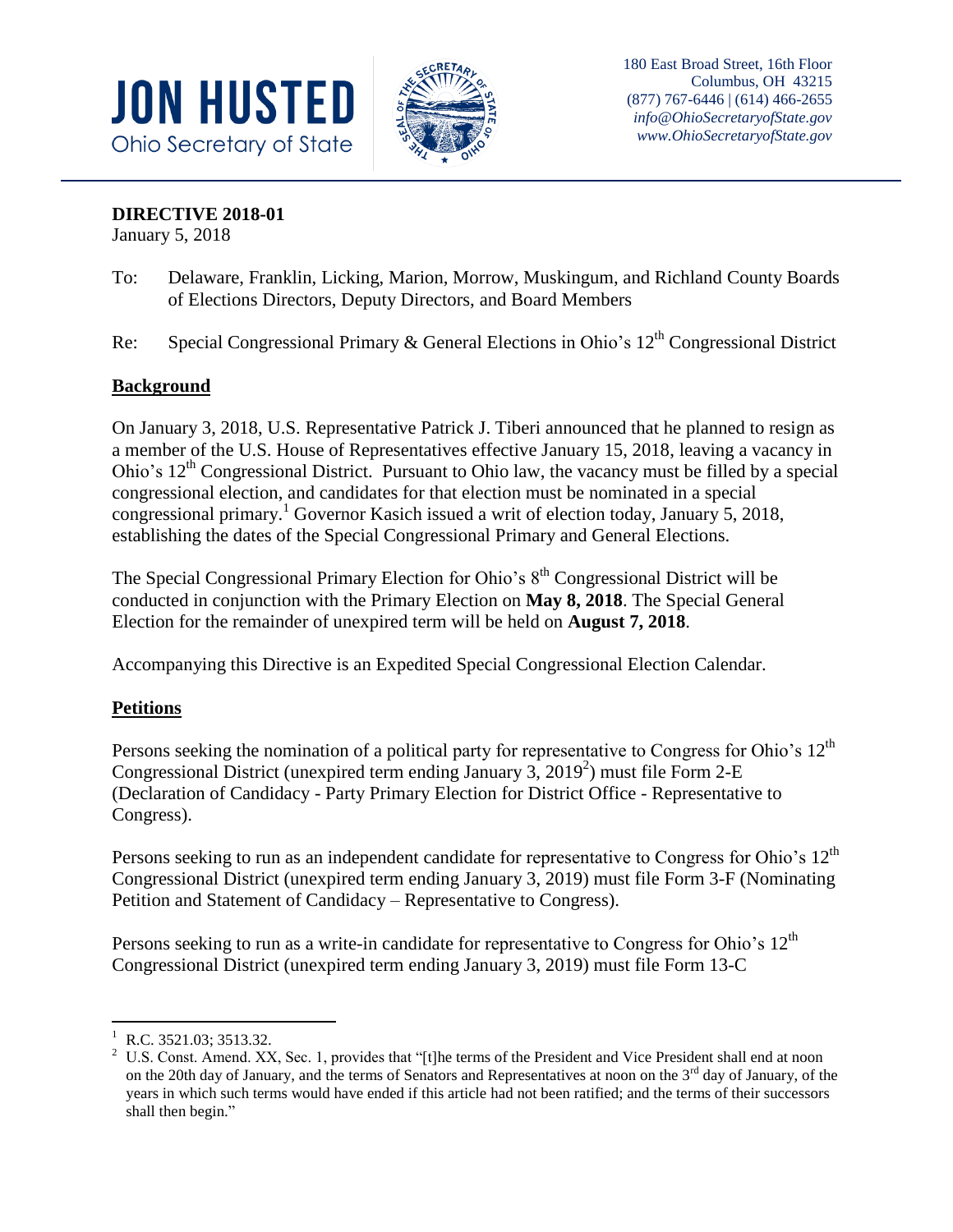



## **DIRECTIVE 2018-01**

January 5, 2018

- To: Delaware, Franklin, Licking, Marion, Morrow, Muskingum, and Richland County Boards of Elections Directors, Deputy Directors, and Board Members
- Re: Special Congressional Primary & General Elections in Ohio's  $12<sup>th</sup>$  Congressional District

## **Background**

On January 3, 2018, U.S. Representative Patrick J. Tiberi announced that he planned to resign as a member of the U.S. House of Representatives effective January 15, 2018, leaving a vacancy in Ohio's  $12<sup>th</sup>$  Congressional District. Pursuant to Ohio law, the vacancy must be filled by a special congressional election, and candidates for that election must be nominated in a special congressional primary.<sup>1</sup> Governor Kasich issued a writ of election today, January 5, 2018, establishing the dates of the Special Congressional Primary and General Elections.

The Special Congressional Primary Election for Ohio's  $8<sup>th</sup>$  Congressional District will be conducted in conjunction with the Primary Election on **May 8, 2018**. The Special General Election for the remainder of unexpired term will be held on **August 7, 2018**.

Accompanying this Directive is an Expedited Special Congressional Election Calendar.

## **Petitions**

Persons seeking the nomination of a political party for representative to Congress for Ohio's  $12<sup>th</sup>$ Congressional District (unexpired term ending January 3, 2019 2 ) must file Form 2-E (Declaration of Candidacy - Party Primary Election for District Office - Representative to Congress).

Persons seeking to run as an independent candidate for representative to Congress for Ohio's  $12<sup>th</sup>$ Congressional District (unexpired term ending January 3, 2019) must file Form 3-F (Nominating Petition and Statement of Candidacy – Representative to Congress).

Persons seeking to run as a write-in candidate for representative to Congress for Ohio's  $12<sup>th</sup>$ Congressional District (unexpired term ending January 3, 2019) must file Form 13-C

 $\overline{a}$ 

 $^{1}$  R.C. 3521.03; 3513.32.<br><sup>2</sup> IIS Const Amend XX

<sup>2</sup> U.S. Const. Amend. XX, Sec. 1, provides that "[t]he terms of the President and Vice President shall end at noon on the 20th day of January, and the terms of Senators and Representatives at noon on the  $3<sup>rd</sup>$  day of January, of the years in which such terms would have ended if this article had not been ratified; and the terms of their successors shall then begin."